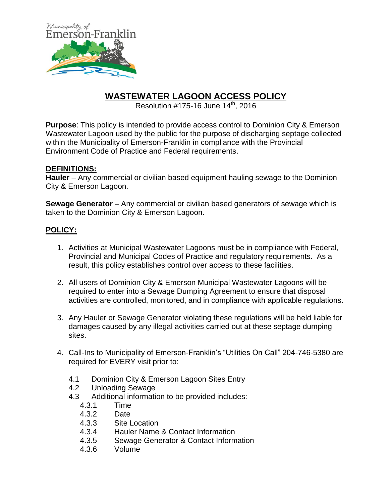

## **WASTEWATER LAGOON ACCESS POLICY**

Resolution  $\#175-16$  June  $14^{\text{th}}$ , 2016

**Purpose**: This policy is intended to provide access control to Dominion City & Emerson Wastewater Lagoon used by the public for the purpose of discharging septage collected within the Municipality of Emerson-Franklin in compliance with the Provincial Environment Code of Practice and Federal requirements.

## **DEFINITIONS:**

**Hauler** – Any commercial or civilian based equipment hauling sewage to the Dominion City & Emerson Lagoon.

**Sewage Generator** – Any commercial or civilian based generators of sewage which is taken to the Dominion City & Emerson Lagoon.

## **POLICY:**

- 1. Activities at Municipal Wastewater Lagoons must be in compliance with Federal, Provincial and Municipal Codes of Practice and regulatory requirements. As a result, this policy establishes control over access to these facilities.
- 2. All users of Dominion City & Emerson Municipal Wastewater Lagoons will be required to enter into a Sewage Dumping Agreement to ensure that disposal activities are controlled, monitored, and in compliance with applicable regulations.
- 3. Any Hauler or Sewage Generator violating these regulations will be held liable for damages caused by any illegal activities carried out at these septage dumping sites.
- 4. Call-Ins to Municipality of Emerson-Franklin's "Utilities On Call" 204-746-5380 are required for EVERY visit prior to:
	- 4.1 Dominion City & Emerson Lagoon Sites Entry
	- 4.2 Unloading Sewage
	- 4.3 Additional information to be provided includes:
		- 4.3.1 Time
		- 4.3.2 Date
		- 4.3.3 Site Location
		- 4.3.4 Hauler Name & Contact Information
		- 4.3.5 Sewage Generator & Contact Information
		- 4.3.6 Volume